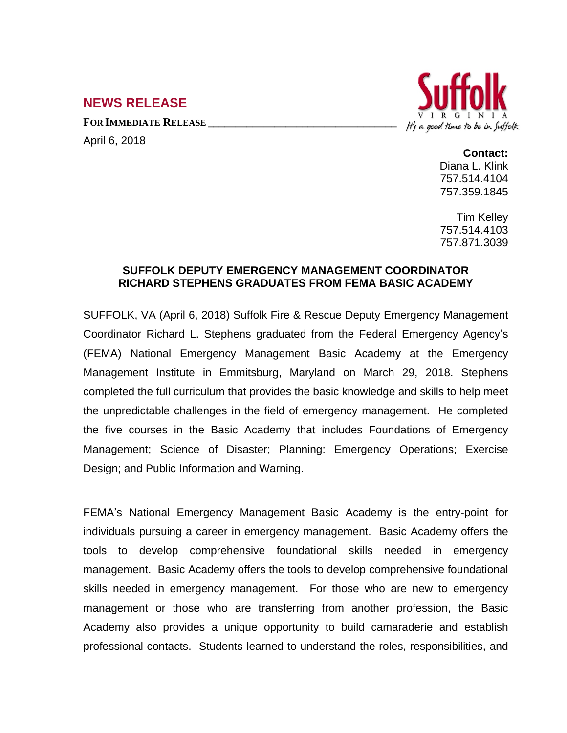## **NEWS RELEASE**

**FOR IMMEDIATE RELEASE \_\_\_\_\_\_\_\_\_\_\_\_\_\_\_\_\_\_\_\_\_\_\_\_\_\_\_\_\_\_\_\_\_\_**

April 6, 2018



## **Contact:**

Diana L. Klink 757.514.4104 757.359.1845

Tim Kelley 757.514.4103 757.871.3039

## **SUFFOLK DEPUTY EMERGENCY MANAGEMENT COORDINATOR RICHARD STEPHENS GRADUATES FROM FEMA BASIC ACADEMY**

SUFFOLK, VA (April 6, 2018) Suffolk Fire & Rescue Deputy Emergency Management Coordinator Richard L. Stephens graduated from the Federal Emergency Agency's (FEMA) National Emergency Management Basic Academy at the Emergency Management Institute in Emmitsburg, Maryland on March 29, 2018. Stephens completed the full curriculum that provides the basic knowledge and skills to help meet the unpredictable challenges in the field of emergency management. He completed the five courses in the Basic Academy that includes Foundations of Emergency Management; Science of Disaster; Planning: Emergency Operations; Exercise Design; and Public Information and Warning.

FEMA's National Emergency Management Basic Academy is the entry-point for individuals pursuing a career in emergency management. Basic Academy offers the tools to develop comprehensive foundational skills needed in emergency management. Basic Academy offers the tools to develop comprehensive foundational skills needed in emergency management. For those who are new to emergency management or those who are transferring from another profession, the Basic Academy also provides a unique opportunity to build camaraderie and establish professional contacts. Students learned to understand the roles, responsibilities, and